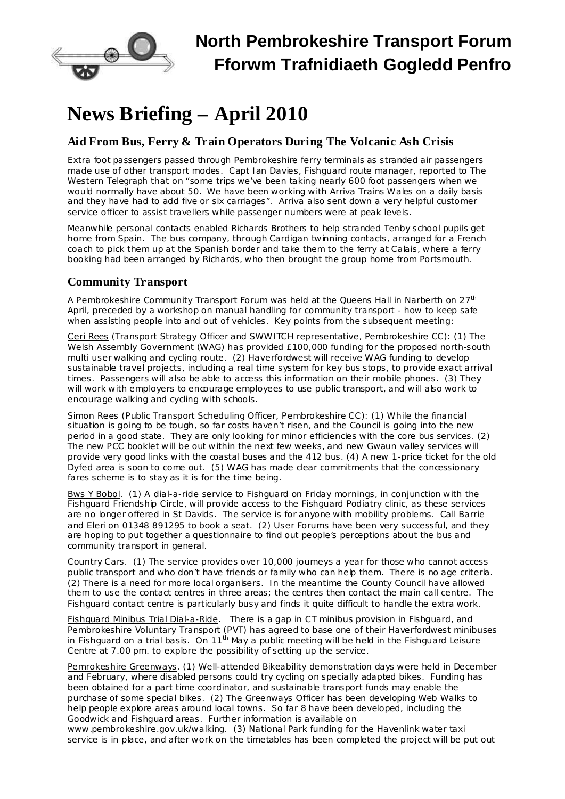

## **North Pembrokeshire Transport Forum Fforwm Trafnidiaeth Gogledd Penfro**

# **News Briefing – April 2010**

### **Aid From Bus, Ferry & Train Operators During The Volcanic Ash Crisis**

Extra foot passengers passed through Pembrokeshire ferry terminals as stranded air passengers made use of other transport modes. Capt Ian Davies, Fishguard route manager, reported to *The Western Telegraph* that on "some trips we've been taking nearly 600 foot passengers when we would normally have about 50. We have been working with Arriva Trains Wales on a daily basis and they have had to add five or six carriages". Arriva also sent down a very helpful customer service officer to assist travellers while passenger numbers were at peak levels.

Meanwhile personal contacts enabled Richards Brothers to help stranded Tenby school pupils get home from Spain. The bus company, through Cardigan twinning contacts, arranged for a French coach to pick them up at the Spanish border and take them to the ferry at Calais, where a ferry booking had been arranged by Richards, who then brought the group home from Portsmouth.

### **Community Transport**

A Pembrokeshire Community Transport Forum was held at the Queens Hall in Narberth on 27<sup>th</sup> April, preceded by a workshop on manual handling for community transport - how to keep safe when assisting people into and out of vehicles. Key points from the subsequent meeting:

Ceri Rees (Transport Strategy Officer and SWWITCH representative, Pembrokeshire CC): (1) The Welsh Assembly Government (WAG) has provided £100,000 funding for the proposed north-south multi user walking and cycling route. (2) Haverfordwest will receive WAG funding to develop sustainable travel projects, including a real time system for key bus stops, to provide exact arrival times. Passengers will also be able to access this information on their mobile phones. (3) They will work with employers to encourage employees to use public transport, and will also work to encourage walking and cycling with schools.

Simon Rees (Public Transport Scheduling Officer, Pembrokeshire CC): (1) While the financial situation is going to be tough, so far costs haven't risen, and the Council is going into the new period in a good state. They are only looking for minor efficiencies with the core bus services. (2) The new PCC booklet will be out within the next few weeks, and new Gwaun valley services will provide very good links with the coastal buses and the 412 bus. (4) A new 1-price ticket for the old Dyfed area is soon to come out. (5) WAG has made clear commitments that the concessionary fares scheme is to stay as it is for the time being.

Bws Y Bobol. (1) A dial-a-ride service to Fishguard on Friday mornings, in conjunction with the Fishguard Friendship Circle, will provide access to the Fishguard Podiatry clinic, as these services are no longer offered in St Davids. The service is for anyone with mobility problems. Call Barrie and Eleri on 01348 891295 to book a seat. (2) User Forums have been very successful, and they are hoping to put together a questionnaire to find out people's perceptions about the bus and community transport in general.

Country Cars. (1) The service provides over 10,000 journeys a year for those who cannot access public transport and who don't have friends or family who can help them. There is no age criteria. (2) There is a need for more local organisers. In the meantime the County Council have allowed them to use the contact centres in three areas; the centres then contact the main call centre. The Fishguard contact centre is particularly busy and finds it quite difficult to handle the extra work.

Fishguard Minibus Trial Dial-a-Ride. There is a gap in CT minibus provision in Fishguard, and Pembrokeshire Voluntary Transport (PVT) has agreed to base one of their Haverfordwest minibuses in Fishguard on a trial basis. On  $11<sup>th</sup>$  May a public meeting will be held in the Fishguard Leisure Centre at 7.00 pm. to explore the possibility of setting up the service.

Pemrokeshire Greenways. (1) Well-attended Bikeability demonstration days were held in December and February, where disabled persons could try cycling on specially adapted bikes. Funding has been obtained for a part time coordinator, and sustainable transport funds may enable the purchase of some special bikes. (2) The Greenways Officer has been developing Web Walks to help people explore areas around local towns. So far 8 have been developed, including the Goodwick and Fishguard areas. Further information is available on [www.pembrokeshire.gov.uk/walking](http://www.pembrokeshire.gov.uk/walking). (3) National Park funding for the Havenlink water taxi

service is in place, and after work on the timetables has been completed the project will be put out